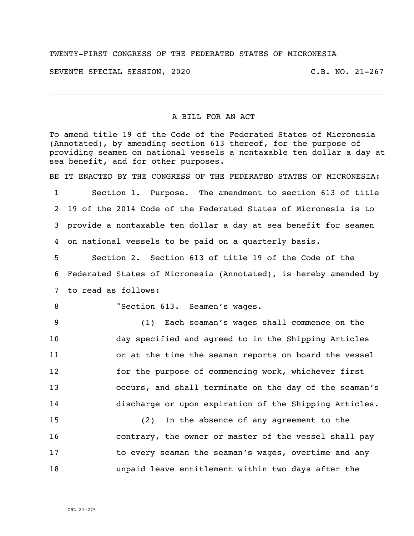## TWENTY-FIRST CONGRESS OF THE FEDERATED STATES OF MICRONESIA

SEVENTH SPECIAL SESSION, 2020 C.B. NO. 21-267

## A BILL FOR AN ACT

To amend title 19 of the Code of the Federated States of Micronesia (Annotated), by amending section 613 thereof, for the purpose of providing seamen on national vessels a nontaxable ten dollar a day at sea benefit, and for other purposes.

BE IT ENACTED BY THE CONGRESS OF THE FEDERATED STATES OF MICRONESIA:

 Section 1. Purpose. The amendment to section 613 of title 19 of the 2014 Code of the Federated States of Micronesia is to provide a nontaxable ten dollar a day at sea benefit for seamen on national vessels to be paid on a quarterly basis.

5 Section 2. Section 613 of title 19 of the Code of the 6 Federated States of Micronesia (Annotated), is hereby amended by 7 to read as follows:

## 8 "Section 613. Seamen's wages.

 (1) Each seaman's wages shall commence on the day specified and agreed to in the Shipping Articles or at the time the seaman reports on board the vessel for the purpose of commencing work, whichever first occurs, and shall terminate on the day of the seaman's discharge or upon expiration of the Shipping Articles.

 (2) In the absence of any agreement to the **contrary, the owner or master of the vessel shall pay** 17 to every seaman the seaman's wages, overtime and any unpaid leave entitlement within two days after the